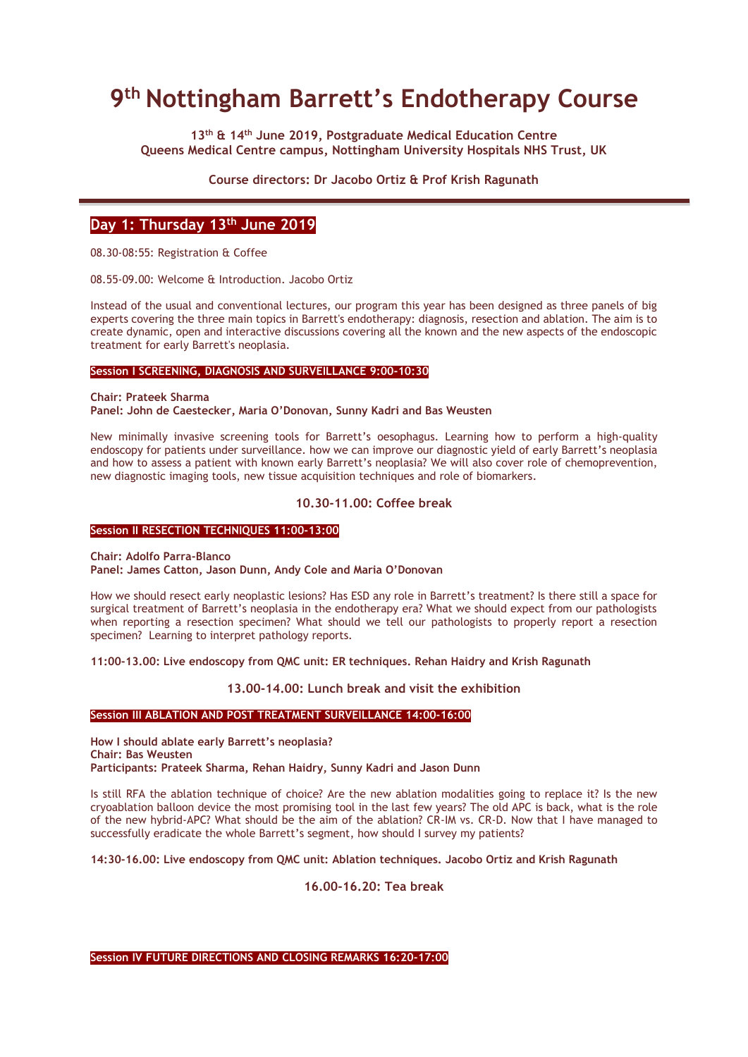# **9 th Nottingham Barrett's Endotherapy Course**

**13th & 14th June 2019, Postgraduate Medical Education Centre Queens Medical Centre campus, Nottingham University Hospitals NHS Trust, UK**

**Course directors: Dr Jacobo Ortiz & Prof Krish Ragunath**

## **Day 1: Thursday 13th June 2019**

08.30-08:55: Registration & Coffee

08.55-09.00: Welcome & Introduction. Jacobo Ortiz

Instead of the usual and conventional lectures, our program this year has been designed as three panels of big experts covering the three main topics in Barrett's endotherapy: diagnosis, resection and ablation. The aim is to create dynamic, open and interactive discussions covering all the known and the new aspects of the endoscopic treatment for early Barrett's neoplasia.

#### **Session I SCREENING, DIAGNOSIS AND SURVEILLANCE 9:00-10:30**

**Chair: Prateek Sharma**

**Panel: John de Caestecker, Maria O'Donovan, Sunny Kadri and Bas Weusten**

New minimally invasive screening tools for Barrett's oesophagus. Learning how to perform a high-quality endoscopy for patients under surveillance. how we can improve our diagnostic yield of early Barrett's neoplasia and how to assess a patient with known early Barrett's neoplasia? We will also cover role of chemoprevention, new diagnostic imaging tools, new tissue acquisition techniques and role of biomarkers.

## **10.30-11.00: Coffee break**

## **Session II RESECTION TECHNIQUES 11:00-13:00**

**Chair: Adolfo Parra-Blanco Panel: James Catton, Jason Dunn, Andy Cole and Maria O'Donovan**

How we should resect early neoplastic lesions? Has ESD any role in Barrett's treatment? Is there still a space for surgical treatment of Barrett's neoplasia in the endotherapy era? What we should expect from our pathologists when reporting a resection specimen? What should we tell our pathologists to properly report a resection specimen? Learning to interpret pathology reports.

**11:00-13.00: Live endoscopy from QMC unit: ER techniques. Rehan Haidry and Krish Ragunath**

**13.00-14.00: Lunch break and visit the exhibition**

#### **Session III ABLATION AND POST TREATMENT SURVEILLANCE 14:00-16:00**

**How I should ablate early Barrett's neoplasia? Chair: Bas Weusten Participants: Prateek Sharma, Rehan Haidry, Sunny Kadri and Jason Dunn**

Is still RFA the ablation technique of choice? Are the new ablation modalities going to replace it? Is the new cryoablation balloon device the most promising tool in the last few years? The old APC is back, what is the role of the new hybrid-APC? What should be the aim of the ablation? CR-IM vs. CR-D. Now that I have managed to successfully eradicate the whole Barrett's segment, how should I survey my patients?

**14:30-16.00: Live endoscopy from QMC unit: Ablation techniques. Jacobo Ortiz and Krish Ragunath**

**16.00-16.20: Tea break**

**Session IV FUTURE DIRECTIONS AND CLOSING REMARKS 16:20-17:00**